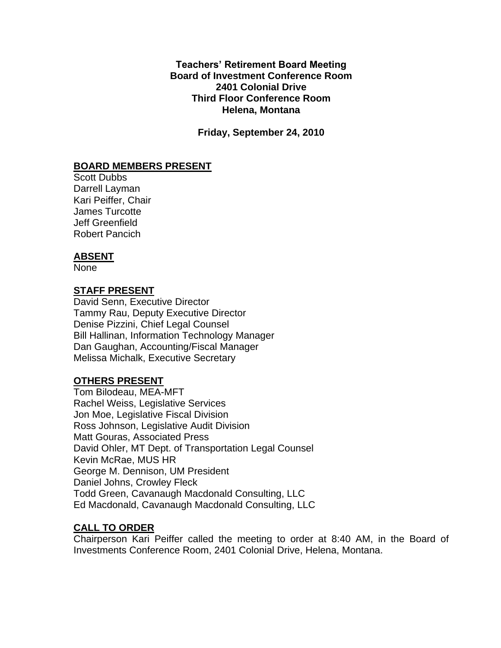**Teachers' Retirement Board Meeting Board of Investment Conference Room 2401 Colonial Drive Third Floor Conference Room Helena, Montana**

**Friday, September 24, 2010**

# **BOARD MEMBERS PRESENT**

Scott Dubbs Darrell Layman Kari Peiffer, Chair James Turcotte Jeff Greenfield Robert Pancich

### **ABSENT**

None

## **STAFF PRESENT**

David Senn, Executive Director Tammy Rau, Deputy Executive Director Denise Pizzini, Chief Legal Counsel Bill Hallinan, Information Technology Manager Dan Gaughan, Accounting/Fiscal Manager Melissa Michalk, Executive Secretary

# **OTHERS PRESENT**

Tom Bilodeau, MEA-MFT Rachel Weiss, Legislative Services Jon Moe, Legislative Fiscal Division Ross Johnson, Legislative Audit Division Matt Gouras, Associated Press David Ohler, MT Dept. of Transportation Legal Counsel Kevin McRae, MUS HR George M. Dennison, UM President Daniel Johns, Crowley Fleck Todd Green, Cavanaugh Macdonald Consulting, LLC Ed Macdonald, Cavanaugh Macdonald Consulting, LLC

## **CALL TO ORDER**

Chairperson Kari Peiffer called the meeting to order at 8:40 AM, in the Board of Investments Conference Room, 2401 Colonial Drive, Helena, Montana.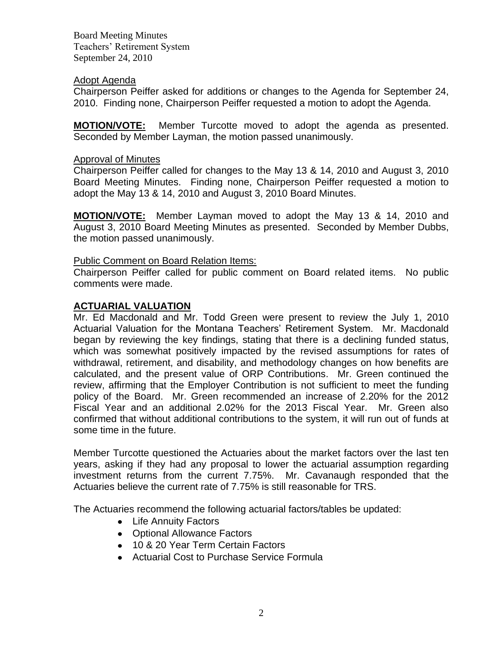### Adopt Agenda

Chairperson Peiffer asked for additions or changes to the Agenda for September 24, 2010. Finding none, Chairperson Peiffer requested a motion to adopt the Agenda.

**MOTION/VOTE:** Member Turcotte moved to adopt the agenda as presented. Seconded by Member Layman, the motion passed unanimously.

### Approval of Minutes

Chairperson Peiffer called for changes to the May 13 & 14, 2010 and August 3, 2010 Board Meeting Minutes. Finding none, Chairperson Peiffer requested a motion to adopt the May 13 & 14, 2010 and August 3, 2010 Board Minutes.

**MOTION/VOTE:** Member Layman moved to adopt the May 13 & 14, 2010 and August 3, 2010 Board Meeting Minutes as presented. Seconded by Member Dubbs, the motion passed unanimously.

### Public Comment on Board Relation Items:

Chairperson Peiffer called for public comment on Board related items. No public comments were made.

## **ACTUARIAL VALUATION**

Mr. Ed Macdonald and Mr. Todd Green were present to review the July 1, 2010 Actuarial Valuation for the Montana Teachers' Retirement System. Mr. Macdonald began by reviewing the key findings, stating that there is a declining funded status, which was somewhat positively impacted by the revised assumptions for rates of withdrawal, retirement, and disability, and methodology changes on how benefits are calculated, and the present value of ORP Contributions. Mr. Green continued the review, affirming that the Employer Contribution is not sufficient to meet the funding policy of the Board. Mr. Green recommended an increase of 2.20% for the 2012 Fiscal Year and an additional 2.02% for the 2013 Fiscal Year. Mr. Green also confirmed that without additional contributions to the system, it will run out of funds at some time in the future.

Member Turcotte questioned the Actuaries about the market factors over the last ten years, asking if they had any proposal to lower the actuarial assumption regarding investment returns from the current 7.75%. Mr. Cavanaugh responded that the Actuaries believe the current rate of 7.75% is still reasonable for TRS.

The Actuaries recommend the following actuarial factors/tables be updated:

- Life Annuity Factors
- Optional Allowance Factors
- 10 & 20 Year Term Certain Factors
- Actuarial Cost to Purchase Service Formula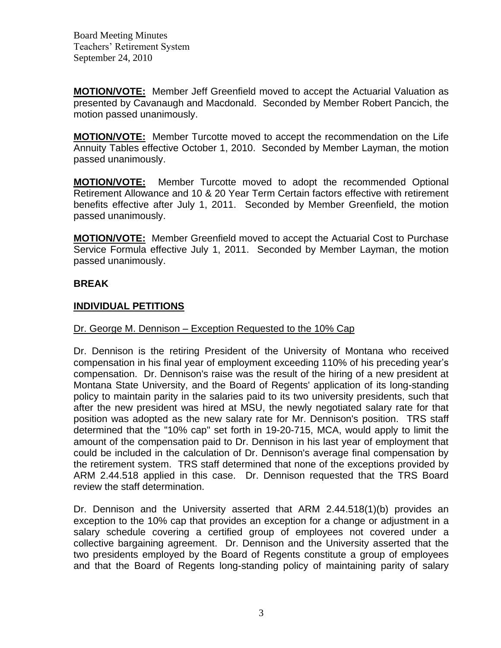**MOTION/VOTE:** Member Jeff Greenfield moved to accept the Actuarial Valuation as presented by Cavanaugh and Macdonald. Seconded by Member Robert Pancich, the motion passed unanimously.

**MOTION/VOTE:** Member Turcotte moved to accept the recommendation on the Life Annuity Tables effective October 1, 2010. Seconded by Member Layman, the motion passed unanimously.

**MOTION/VOTE:** Member Turcotte moved to adopt the recommended Optional Retirement Allowance and 10 & 20 Year Term Certain factors effective with retirement benefits effective after July 1, 2011. Seconded by Member Greenfield, the motion passed unanimously.

**MOTION/VOTE:** Member Greenfield moved to accept the Actuarial Cost to Purchase Service Formula effective July 1, 2011. Seconded by Member Layman, the motion passed unanimously.

# **BREAK**

# **INDIVIDUAL PETITIONS**

## Dr. George M. Dennison – Exception Requested to the 10% Cap

Dr. Dennison is the retiring President of the University of Montana who received compensation in his final year of employment exceeding 110% of his preceding year's compensation. Dr. Dennison's raise was the result of the hiring of a new president at Montana State University, and the Board of Regents' application of its long-standing policy to maintain parity in the salaries paid to its two university presidents, such that after the new president was hired at MSU, the newly negotiated salary rate for that position was adopted as the new salary rate for Mr. Dennison's position. TRS staff determined that the "10% cap" set forth in 19-20-715, MCA, would apply to limit the amount of the compensation paid to Dr. Dennison in his last year of employment that could be included in the calculation of Dr. Dennison's average final compensation by the retirement system. TRS staff determined that none of the exceptions provided by ARM 2.44.518 applied in this case. Dr. Dennison requested that the TRS Board review the staff determination.

Dr. Dennison and the University asserted that ARM 2.44.518(1)(b) provides an exception to the 10% cap that provides an exception for a change or adjustment in a salary schedule covering a certified group of employees not covered under a collective bargaining agreement. Dr. Dennison and the University asserted that the two presidents employed by the Board of Regents constitute a group of employees and that the Board of Regents long-standing policy of maintaining parity of salary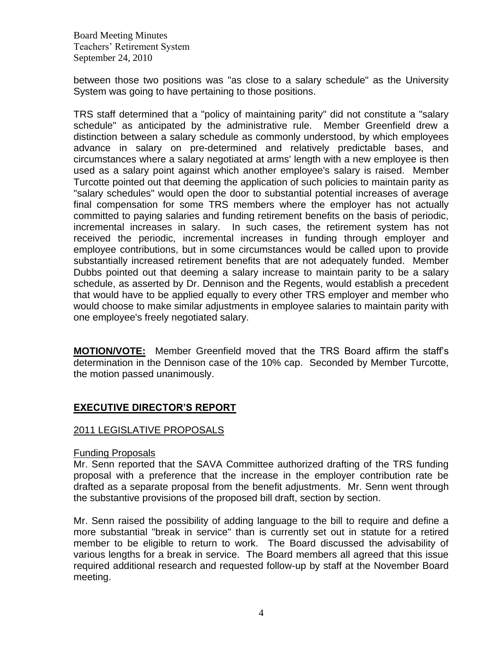between those two positions was "as close to a salary schedule" as the University System was going to have pertaining to those positions.

TRS staff determined that a "policy of maintaining parity" did not constitute a "salary schedule" as anticipated by the administrative rule. Member Greenfield drew a distinction between a salary schedule as commonly understood, by which employees advance in salary on pre-determined and relatively predictable bases, and circumstances where a salary negotiated at arms' length with a new employee is then used as a salary point against which another employee's salary is raised. Member Turcotte pointed out that deeming the application of such policies to maintain parity as "salary schedules" would open the door to substantial potential increases of average final compensation for some TRS members where the employer has not actually committed to paying salaries and funding retirement benefits on the basis of periodic, incremental increases in salary. In such cases, the retirement system has not received the periodic, incremental increases in funding through employer and employee contributions, but in some circumstances would be called upon to provide substantially increased retirement benefits that are not adequately funded. Member Dubbs pointed out that deeming a salary increase to maintain parity to be a salary schedule, as asserted by Dr. Dennison and the Regents, would establish a precedent that would have to be applied equally to every other TRS employer and member who would choose to make similar adjustments in employee salaries to maintain parity with one employee's freely negotiated salary.

**MOTION/VOTE:** Member Greenfield moved that the TRS Board affirm the staff's determination in the Dennison case of the 10% cap. Seconded by Member Turcotte, the motion passed unanimously.

# **EXECUTIVE DIRECTOR'S REPORT**

#### 2011 LEGISLATIVE PROPOSALS

#### Funding Proposals

Mr. Senn reported that the SAVA Committee authorized drafting of the TRS funding proposal with a preference that the increase in the employer contribution rate be drafted as a separate proposal from the benefit adjustments. Mr. Senn went through the substantive provisions of the proposed bill draft, section by section.

Mr. Senn raised the possibility of adding language to the bill to require and define a more substantial "break in service" than is currently set out in statute for a retired member to be eligible to return to work. The Board discussed the advisability of various lengths for a break in service. The Board members all agreed that this issue required additional research and requested follow-up by staff at the November Board meeting.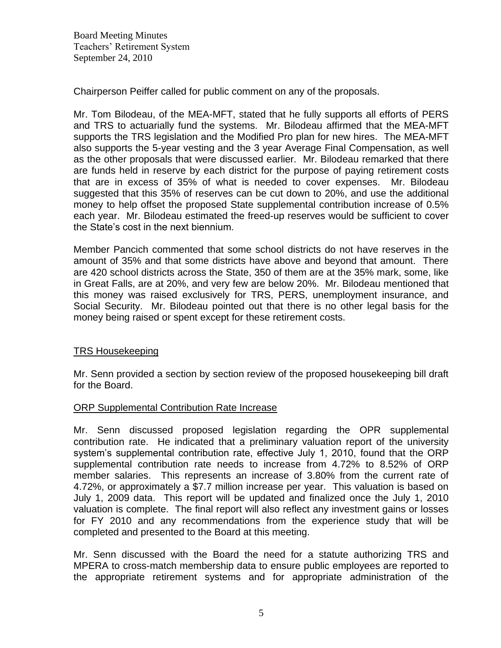Chairperson Peiffer called for public comment on any of the proposals.

Mr. Tom Bilodeau, of the MEA-MFT, stated that he fully supports all efforts of PERS and TRS to actuarially fund the systems. Mr. Bilodeau affirmed that the MEA-MFT supports the TRS legislation and the Modified Pro plan for new hires. The MEA-MFT also supports the 5-year vesting and the 3 year Average Final Compensation, as well as the other proposals that were discussed earlier. Mr. Bilodeau remarked that there are funds held in reserve by each district for the purpose of paying retirement costs that are in excess of 35% of what is needed to cover expenses. Mr. Bilodeau suggested that this 35% of reserves can be cut down to 20%, and use the additional money to help offset the proposed State supplemental contribution increase of 0.5% each year. Mr. Bilodeau estimated the freed-up reserves would be sufficient to cover the State's cost in the next biennium.

Member Pancich commented that some school districts do not have reserves in the amount of 35% and that some districts have above and beyond that amount. There are 420 school districts across the State, 350 of them are at the 35% mark, some, like in Great Falls, are at 20%, and very few are below 20%. Mr. Bilodeau mentioned that this money was raised exclusively for TRS, PERS, unemployment insurance, and Social Security. Mr. Bilodeau pointed out that there is no other legal basis for the money being raised or spent except for these retirement costs.

#### TRS Housekeeping

Mr. Senn provided a section by section review of the proposed housekeeping bill draft for the Board.

#### ORP Supplemental Contribution Rate Increase

Mr. Senn discussed proposed legislation regarding the OPR supplemental contribution rate. He indicated that a preliminary valuation report of the university system's supplemental contribution rate, effective July 1, 2010, found that the ORP supplemental contribution rate needs to increase from 4.72% to 8.52% of ORP member salaries. This represents an increase of 3.80% from the current rate of 4.72%, or approximately a \$7.7 million increase per year. This valuation is based on July 1, 2009 data. This report will be updated and finalized once the July 1, 2010 valuation is complete. The final report will also reflect any investment gains or losses for FY 2010 and any recommendations from the experience study that will be completed and presented to the Board at this meeting.

Mr. Senn discussed with the Board the need for a statute authorizing TRS and MPERA to cross-match membership data to ensure public employees are reported to the appropriate retirement systems and for appropriate administration of the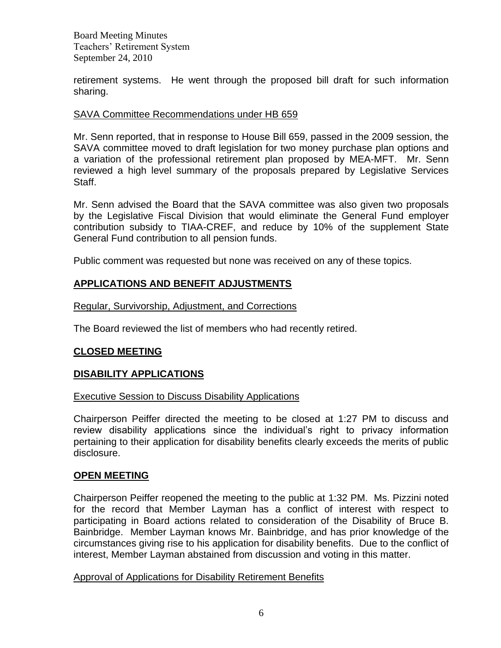retirement systems. He went through the proposed bill draft for such information sharing.

## SAVA Committee Recommendations under HB 659

Mr. Senn reported, that in response to House Bill 659, passed in the 2009 session, the SAVA committee moved to draft legislation for two money purchase plan options and a variation of the professional retirement plan proposed by MEA-MFT. Mr. Senn reviewed a high level summary of the proposals prepared by Legislative Services Staff.

Mr. Senn advised the Board that the SAVA committee was also given two proposals by the Legislative Fiscal Division that would eliminate the General Fund employer contribution subsidy to TIAA-CREF, and reduce by 10% of the supplement State General Fund contribution to all pension funds.

Public comment was requested but none was received on any of these topics.

## **APPLICATIONS AND BENEFIT ADJUSTMENTS**

Regular, Survivorship, Adjustment, and Corrections

The Board reviewed the list of members who had recently retired.

## **CLOSED MEETING**

#### **DISABILITY APPLICATIONS**

#### Executive Session to Discuss Disability Applications

Chairperson Peiffer directed the meeting to be closed at 1:27 PM to discuss and review disability applications since the individual's right to privacy information pertaining to their application for disability benefits clearly exceeds the merits of public disclosure.

## **OPEN MEETING**

Chairperson Peiffer reopened the meeting to the public at 1:32 PM. Ms. Pizzini noted for the record that Member Layman has a conflict of interest with respect to participating in Board actions related to consideration of the Disability of Bruce B. Bainbridge. Member Layman knows Mr. Bainbridge, and has prior knowledge of the circumstances giving rise to his application for disability benefits. Due to the conflict of interest, Member Layman abstained from discussion and voting in this matter.

#### Approval of Applications for Disability Retirement Benefits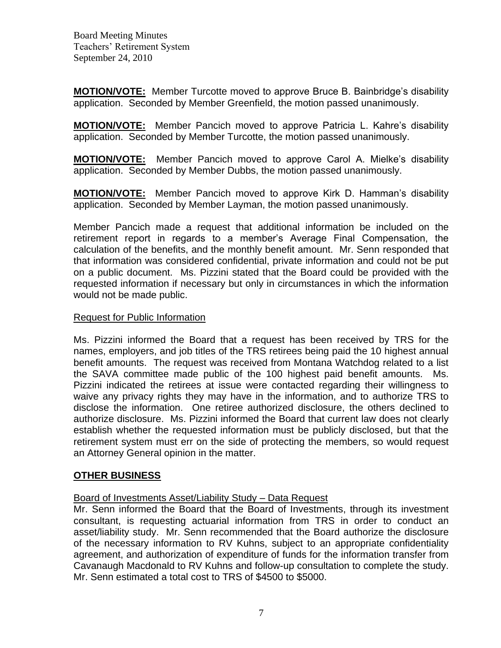**MOTION/VOTE:** Member Turcotte moved to approve Bruce B. Bainbridge's disability application. Seconded by Member Greenfield, the motion passed unanimously.

**MOTION/VOTE:** Member Pancich moved to approve Patricia L. Kahre's disability application. Seconded by Member Turcotte, the motion passed unanimously.

**MOTION/VOTE:** Member Pancich moved to approve Carol A. Mielke's disability application. Seconded by Member Dubbs, the motion passed unanimously.

**MOTION/VOTE:** Member Pancich moved to approve Kirk D. Hamman's disability application. Seconded by Member Layman, the motion passed unanimously.

Member Pancich made a request that additional information be included on the retirement report in regards to a member's Average Final Compensation, the calculation of the benefits, and the monthly benefit amount. Mr. Senn responded that that information was considered confidential, private information and could not be put on a public document. Ms. Pizzini stated that the Board could be provided with the requested information if necessary but only in circumstances in which the information would not be made public.

### Request for Public Information

Ms. Pizzini informed the Board that a request has been received by TRS for the names, employers, and job titles of the TRS retirees being paid the 10 highest annual benefit amounts. The request was received from Montana Watchdog related to a list the SAVA committee made public of the 100 highest paid benefit amounts. Ms. Pizzini indicated the retirees at issue were contacted regarding their willingness to waive any privacy rights they may have in the information, and to authorize TRS to disclose the information. One retiree authorized disclosure, the others declined to authorize disclosure. Ms. Pizzini informed the Board that current law does not clearly establish whether the requested information must be publicly disclosed, but that the retirement system must err on the side of protecting the members, so would request an Attorney General opinion in the matter.

## **OTHER BUSINESS**

Board of Investments Asset/Liability Study – Data Request

Mr. Senn informed the Board that the Board of Investments, through its investment consultant, is requesting actuarial information from TRS in order to conduct an asset/liability study. Mr. Senn recommended that the Board authorize the disclosure of the necessary information to RV Kuhns, subject to an appropriate confidentiality agreement, and authorization of expenditure of funds for the information transfer from Cavanaugh Macdonald to RV Kuhns and follow-up consultation to complete the study. Mr. Senn estimated a total cost to TRS of \$4500 to \$5000.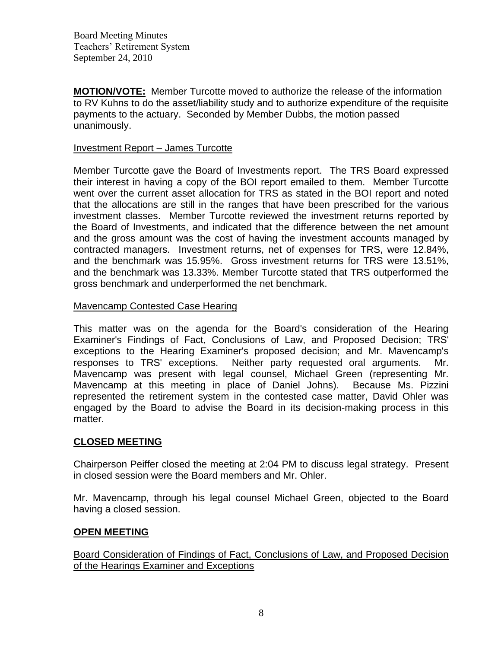**MOTION/VOTE:** Member Turcotte moved to authorize the release of the information to RV Kuhns to do the asset/liability study and to authorize expenditure of the requisite payments to the actuary. Seconded by Member Dubbs, the motion passed unanimously.

## Investment Report – James Turcotte

Member Turcotte gave the Board of Investments report. The TRS Board expressed their interest in having a copy of the BOI report emailed to them. Member Turcotte went over the current asset allocation for TRS as stated in the BOI report and noted that the allocations are still in the ranges that have been prescribed for the various investment classes. Member Turcotte reviewed the investment returns reported by the Board of Investments, and indicated that the difference between the net amount and the gross amount was the cost of having the investment accounts managed by contracted managers. Investment returns, net of expenses for TRS, were 12.84%, and the benchmark was 15.95%. Gross investment returns for TRS were 13.51%, and the benchmark was 13.33%. Member Turcotte stated that TRS outperformed the gross benchmark and underperformed the net benchmark.

# Mavencamp Contested Case Hearing

This matter was on the agenda for the Board's consideration of the Hearing Examiner's Findings of Fact, Conclusions of Law, and Proposed Decision; TRS' exceptions to the Hearing Examiner's proposed decision; and Mr. Mavencamp's responses to TRS' exceptions. Neither party requested oral arguments. Mr. Mavencamp was present with legal counsel, Michael Green (representing Mr. Mavencamp at this meeting in place of Daniel Johns). Because Ms. Pizzini represented the retirement system in the contested case matter, David Ohler was engaged by the Board to advise the Board in its decision-making process in this matter.

# **CLOSED MEETING**

Chairperson Peiffer closed the meeting at 2:04 PM to discuss legal strategy. Present in closed session were the Board members and Mr. Ohler.

Mr. Mavencamp, through his legal counsel Michael Green, objected to the Board having a closed session.

## **OPEN MEETING**

Board Consideration of Findings of Fact, Conclusions of Law, and Proposed Decision of the Hearings Examiner and Exceptions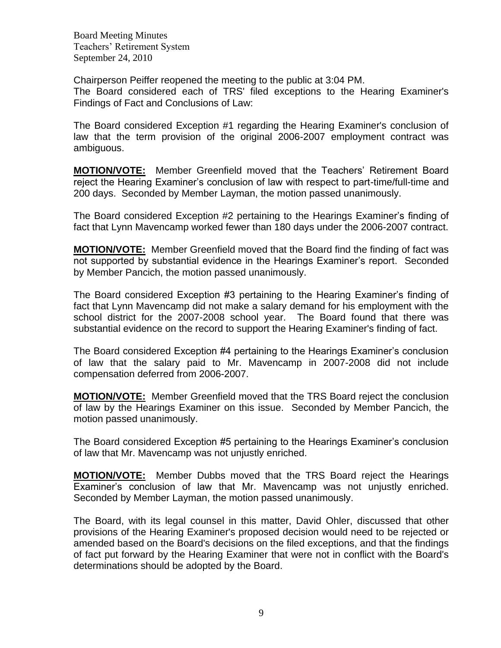Chairperson Peiffer reopened the meeting to the public at 3:04 PM. The Board considered each of TRS' filed exceptions to the Hearing Examiner's Findings of Fact and Conclusions of Law:

The Board considered Exception #1 regarding the Hearing Examiner's conclusion of law that the term provision of the original 2006-2007 employment contract was ambiguous.

**MOTION/VOTE:** Member Greenfield moved that the Teachers' Retirement Board reject the Hearing Examiner's conclusion of law with respect to part-time/full-time and 200 days. Seconded by Member Layman, the motion passed unanimously.

The Board considered Exception #2 pertaining to the Hearings Examiner's finding of fact that Lynn Mavencamp worked fewer than 180 days under the 2006-2007 contract.

**MOTION/VOTE:** Member Greenfield moved that the Board find the finding of fact was not supported by substantial evidence in the Hearings Examiner's report. Seconded by Member Pancich, the motion passed unanimously.

The Board considered Exception #3 pertaining to the Hearing Examiner's finding of fact that Lynn Mavencamp did not make a salary demand for his employment with the school district for the 2007-2008 school year. The Board found that there was substantial evidence on the record to support the Hearing Examiner's finding of fact.

The Board considered Exception #4 pertaining to the Hearings Examiner's conclusion of law that the salary paid to Mr. Mavencamp in 2007-2008 did not include compensation deferred from 2006-2007.

**MOTION/VOTE:** Member Greenfield moved that the TRS Board reject the conclusion of law by the Hearings Examiner on this issue. Seconded by Member Pancich, the motion passed unanimously.

The Board considered Exception #5 pertaining to the Hearings Examiner's conclusion of law that Mr. Mavencamp was not unjustly enriched.

**MOTION/VOTE:** Member Dubbs moved that the TRS Board reject the Hearings Examiner's conclusion of law that Mr. Mavencamp was not unjustly enriched. Seconded by Member Layman, the motion passed unanimously.

The Board, with its legal counsel in this matter, David Ohler, discussed that other provisions of the Hearing Examiner's proposed decision would need to be rejected or amended based on the Board's decisions on the filed exceptions, and that the findings of fact put forward by the Hearing Examiner that were not in conflict with the Board's determinations should be adopted by the Board.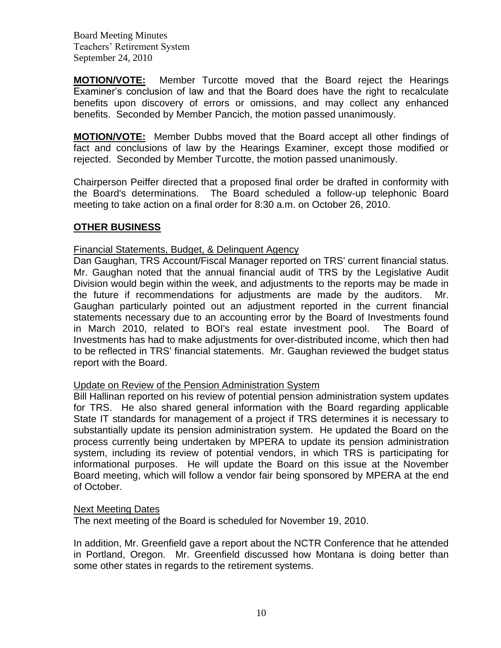**MOTION/VOTE:** Member Turcotte moved that the Board reject the Hearings Examiner's conclusion of law and that the Board does have the right to recalculate benefits upon discovery of errors or omissions, and may collect any enhanced benefits. Seconded by Member Pancich, the motion passed unanimously.

**MOTION/VOTE:** Member Dubbs moved that the Board accept all other findings of fact and conclusions of law by the Hearings Examiner, except those modified or rejected. Seconded by Member Turcotte, the motion passed unanimously.

Chairperson Peiffer directed that a proposed final order be drafted in conformity with the Board's determinations. The Board scheduled a follow-up telephonic Board meeting to take action on a final order for 8:30 a.m. on October 26, 2010.

## **OTHER BUSINESS**

### Financial Statements, Budget, & Delinquent Agency

Dan Gaughan, TRS Account/Fiscal Manager reported on TRS' current financial status. Mr. Gaughan noted that the annual financial audit of TRS by the Legislative Audit Division would begin within the week, and adjustments to the reports may be made in the future if recommendations for adjustments are made by the auditors. Mr. Gaughan particularly pointed out an adjustment reported in the current financial statements necessary due to an accounting error by the Board of Investments found in March 2010, related to BOI's real estate investment pool. The Board of Investments has had to make adjustments for over-distributed income, which then had to be reflected in TRS' financial statements. Mr. Gaughan reviewed the budget status report with the Board.

#### Update on Review of the Pension Administration System

Bill Hallinan reported on his review of potential pension administration system updates for TRS. He also shared general information with the Board regarding applicable State IT standards for management of a project if TRS determines it is necessary to substantially update its pension administration system. He updated the Board on the process currently being undertaken by MPERA to update its pension administration system, including its review of potential vendors, in which TRS is participating for informational purposes. He will update the Board on this issue at the November Board meeting, which will follow a vendor fair being sponsored by MPERA at the end of October.

#### Next Meeting Dates

The next meeting of the Board is scheduled for November 19, 2010.

In addition, Mr. Greenfield gave a report about the NCTR Conference that he attended in Portland, Oregon. Mr. Greenfield discussed how Montana is doing better than some other states in regards to the retirement systems.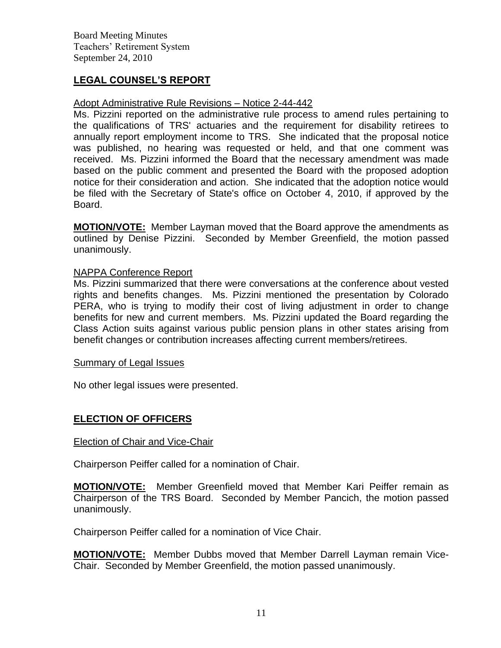# **LEGAL COUNSEL'S REPORT**

#### Adopt Administrative Rule Revisions – Notice 2-44-442

Ms. Pizzini reported on the administrative rule process to amend rules pertaining to the qualifications of TRS' actuaries and the requirement for disability retirees to annually report employment income to TRS. She indicated that the proposal notice was published, no hearing was requested or held, and that one comment was received. Ms. Pizzini informed the Board that the necessary amendment was made based on the public comment and presented the Board with the proposed adoption notice for their consideration and action. She indicated that the adoption notice would be filed with the Secretary of State's office on October 4, 2010, if approved by the Board.

**MOTION/VOTE:** Member Layman moved that the Board approve the amendments as outlined by Denise Pizzini. Seconded by Member Greenfield, the motion passed unanimously.

#### NAPPA Conference Report

Ms. Pizzini summarized that there were conversations at the conference about vested rights and benefits changes. Ms. Pizzini mentioned the presentation by Colorado PERA, who is trying to modify their cost of living adjustment in order to change benefits for new and current members. Ms. Pizzini updated the Board regarding the Class Action suits against various public pension plans in other states arising from benefit changes or contribution increases affecting current members/retirees.

#### Summary of Legal Issues

No other legal issues were presented.

## **ELECTION OF OFFICERS**

#### Election of Chair and Vice-Chair

Chairperson Peiffer called for a nomination of Chair.

**MOTION/VOTE:** Member Greenfield moved that Member Kari Peiffer remain as Chairperson of the TRS Board. Seconded by Member Pancich, the motion passed unanimously.

Chairperson Peiffer called for a nomination of Vice Chair.

**MOTION/VOTE:** Member Dubbs moved that Member Darrell Layman remain Vice-Chair. Seconded by Member Greenfield, the motion passed unanimously.